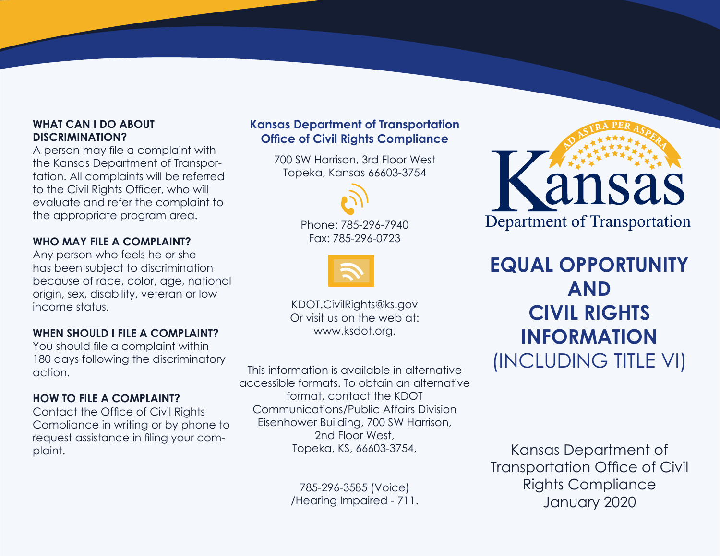### **WHAT CAN I DO ABOUT DISCRIMINATION?**

A person may file a complaint with the Kansas Department of Transportation. All complaints will be referred to the Civil Rights Officer, who will evaluate and refer the complaint to the appropriate program area.

### **WHO MAY FILE A COMPLAINT?**

Any person who feels he or she has been subject to discrimination because of race, color, age, national origin, sex, disability, veteran or low income status.

### **WHEN SHOULD I FILE A COMPLAINT?**

You should file a complaint within 180 days following the discriminatory action.

### **HOW TO FILE A COMPLAINT?**

Contact the Office of Civil Rights Compliance in writing or by phone to request assistance in filing your complaint.

### **Kansas Department of Transportation Office of Civil Rights Compliance**

700 SW Harrison, 3rd Floor West Topeka, Kansas 66603-3754



Phone: 785-296-7940 Fax: 785-296-0723



KDOT.CivilRights@ks.gov Or visit us on the web at: www.ksdot.org.

This information is available in alternative accessible formats. To obtain an alternative format, contact the KDOT Communications/Public Affairs Division Eisenhower Building, 700 SW Harrison, 2nd Floor West, Topeka, KS, 66603-3754,

> 785-296-3585 (Voice) /Hearing Impaired - 711.



# **EQUAL OPPORTUNITY AND CIVIL RIGHTS INFORMATION** (INCLUDING TITLE VI)

Kansas Department of Transportation Office of Civil Rights Compliance January 2020